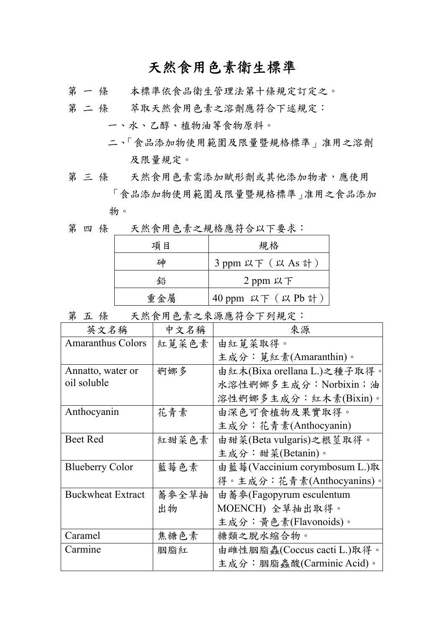## 天然食用色素衛生標準

- 第 一 條 本標準依食品衛生管理法第十條規定訂定之。
- 第 二 條 萃取天然食用色素之溶劑應符合下述規定:
	- 一、水、乙醇、植物油等食物原料。
	- 二、「食品添加物使用範圍及限量暨規格標準」准用之溶劑 及限量規定。
- 第三條 天然食用色素需添加賦形劑或其他添加物者,應使用 「食品添加物使用範圍及限量暨規格標準」准用之食品添加 物。
- 第 四 條 天然食用色素之規格應符合以下要求:

| 項目  | 規格                 |
|-----|--------------------|
| 砷   | 3 ppm 以下 (以 As 計)  |
| 鉛   | 2 ppm 以下           |
| 重金屬 | 40 ppm 以下 (以 Pb 計) |

第五條 天然食用色素之來源應符合下列規定:

| 英文名稱                     | 中文名稱  | 來源                            |
|--------------------------|-------|-------------------------------|
| <b>Amaranthus Colors</b> | 紅莧菜色素 | 由紅莧菜取得。                       |
|                          |       | 主成分:莧紅素(Amaranthin)。          |
| Annatto, water or        | 婀娜多   | 由紅木(Bixa orellana L.)之種子取得。   |
| oil soluble              |       | 水溶性婀娜多主成分: Norbixin;油         |
|                          |       | 溶性婀娜多主成分:紅木素(Bixin)。          |
| Anthocyanin              | 花青素   | 由深色可食植物及果實取得。                 |
|                          |       | 主成分:花青素(Anthocyanin)          |
| <b>Beet Red</b>          | 紅甜菜色素 | 由甜菜(Beta vulgaris)之根莖取得。      |
|                          |       | 主成分:甜菜(Betanin)。              |
| <b>Blueberry Color</b>   | 藍莓色素  | 由藍莓(Vaccinium corymbosum L.)取 |
|                          |       | 得。主成分:花青素(Anthocyanins)。      |
| <b>Buckwheat Extract</b> | 蕎麥全草抽 | 由 蕎麥(Fagopyrum esculentum     |
|                          | 出物    | MOENCH) 全草抽出取得。               |
|                          |       | 主成分:黄色素(Flavonoids)。          |
| Caramel                  | 焦糖色素  | 糖類之脫水縮合物。                     |
| Carmine                  | 胭脂紅   | 由雌性胭脂蟲(Coccus cacti L.)取得。    |
|                          |       | 主成分:胭脂蟲酸(Carminic Acid)。      |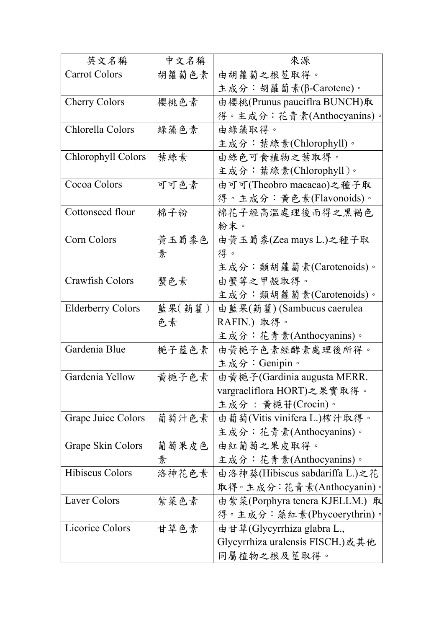| 英文名稱                     | 中文名稱   | 來源                               |
|--------------------------|--------|----------------------------------|
| <b>Carrot Colors</b>     | 胡蘿蔔色素  | 由胡蘿蔔之根莖取得。                       |
|                          |        | 主成分:胡蘿蔔素(β-Carotene)。            |
| <b>Cherry Colors</b>     | 櫻桃色素   | 由櫻桃(Prunus pauciflra BUNCH)取     |
|                          |        | 得。主成分:花青素(Anthocyanins)。         |
| Chlorella Colors         | 綠藻色素   | 由綠藻取得。                           |
|                          |        | 主成分:葉綠素(Chlorophyll)。            |
| Chlorophyll Colors       | 葉綠素    | 由綠色可食植物之葉取得。                     |
|                          |        | 主成分:葉綠素(Chlorophyll)。            |
| Cocoa Colors             | 可可色素   | 由可可(Theobro macacao)之種子取         |
|                          |        | 得。主成分:黄色素(Flavonoids)。           |
| Cottonseed flour         | 棉子粉    | 棉花子經高溫處理後而得之黑褐色                  |
|                          |        | 粉末。                              |
| Corn Colors              | 黄玉蜀黍色  | 由黄玉蜀黍(Zea mays L.)之種子取           |
|                          | 素      | 得。                               |
|                          |        | 主成分:類胡蘿蔔素(Carotenoids)。          |
| Crawfish Colors          | 蟹色素    | 由蟹等之甲殼取得。                        |
|                          |        | 主成分:類胡蘿蔔素(Carotenoids)。          |
| <b>Elderberry Colors</b> | 藍果(蒴藋) | 由藍果(蒴藋) (Sambucus caerulea       |
|                          | 色素     | RAFIN.) 取得。                      |
|                          |        | 主成分:花青素(Anthocyanins)。           |
| Gardenia Blue            | 梔子藍色素  | 由黄梔子色素經酵素處理後所得。                  |
|                          |        | 主成分: Genipin。                    |
| Gardenia Yellow          | 黄梔子色素  | 由黃梔子(Gardinia augusta MERR.      |
|                          |        | vargracliflora HORT)之果實取得。       |
|                          |        | 主成分: 黃梔苷(Crocin)。                |
| Grape Juice Colors       | 葡萄汁色素  | 由葡萄(Vitis vinifera L.)榨汁取得。      |
|                          |        | 主成分:花青素(Anthocyanins)。           |
| <b>Grape Skin Colors</b> | 葡萄果皮色  | 由紅葡萄之果皮取得。                       |
|                          | 素      | 主成分:花青素(Anthocyanins)。           |
| <b>Hibiscus Colors</b>   | 洛神花色素  | 由洛神葵(Hibiscus sabdariffa L.)之花   |
|                          |        | 取得。主成分:花青素(Anthocyanin)。         |
| Laver Colors             | 紫菜色素   | 由紫菜(Porphyra tenera KJELLM.) 取   |
|                          |        | 得。主成分:藻紅素(Phycoerythrin)。        |
| <b>Licorice Colors</b>   | 甘草色素   | 由甘草(Glycyrrhiza glabra L.,       |
|                          |        | Glycyrrhiza uralensis FISCH.)或其他 |
|                          |        | 同屬植物之根及莖取得。                      |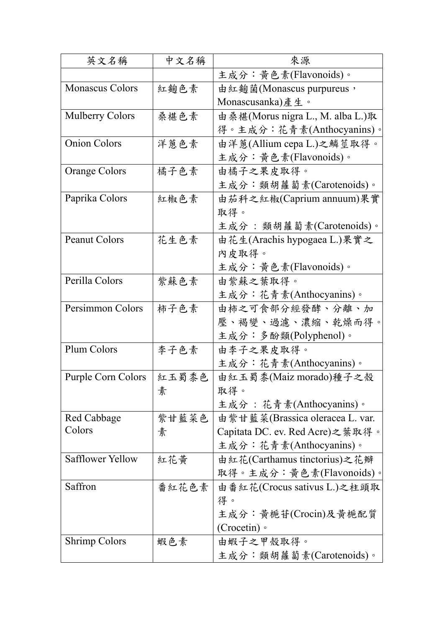| 英文名稱                      | 中文名稱  | 來源                               |
|---------------------------|-------|----------------------------------|
|                           |       | 主成分:黃色素(Flavonoids)。             |
| <b>Monascus Colors</b>    | 紅麴色素  | 由紅麴菌(Monascus purpureus,         |
|                           |       | Monascusanka)產生。                 |
| <b>Mulberry Colors</b>    | 桑椹色素  | 由桑椹(Morus nigra L., M. alba L.)取 |
|                           |       | 得。主成分:花青素(Anthocyanins)。         |
| <b>Onion Colors</b>       | 洋蔥色素  | 由洋蔥(Allium cepa L.)之鱗莖取得。        |
|                           |       | 主成分:黄色素(Flavonoids)。             |
| <b>Orange Colors</b>      | 橘子色素  | 由橘子之果皮取得。                        |
|                           |       | 主成分:類胡蘿蔔素(Carotenoids)。          |
| Paprika Colors            | 紅椒色素  | 由茄科之紅椒(Caprium annuum)果實         |
|                           |       | 取得。                              |
|                           |       | 主成分:類胡蘿蔔素(Carotenoids)。          |
| <b>Peanut Colors</b>      | 花生色素  | 由花生(Arachis hypogaea L.)果實之      |
|                           |       | 內皮取得。                            |
|                           |       | 主成分:黄色素(Flavonoids)。             |
| Perilla Colors            | 紫蘇色素  | 由紫蘇之葉取得。                         |
|                           |       | 主成分:花青素(Anthocyanins)。           |
| Persimmon Colors          | 柿子色素  | 由柿之可食部分經發酵、分離、加                  |
|                           |       | 壓、褐變、過濾、濃縮、乾燥而得。                 |
|                           |       | 主成分:多酚類(Polyphenol)。             |
| Plum Colors               | 李子色素  | 由李子之果皮取得。                        |
|                           |       | 主成分:花青素(Anthocyanins)。           |
| <b>Purple Corn Colors</b> | 紅玉蜀黍色 | 由紅玉蜀黍(Maiz morado)種子之殼           |
|                           | 素     | 取得。                              |
|                           |       | 主成分 : 花青素(Anthocyanins)。         |
| Red Cabbage               | 紫甘藍菜色 | 由紫甘藍菜(Brassica oleracea L. var.  |
| Colors                    | 素     | Capitata DC. ev. Red Acre)之葉取得。  |
|                           |       | 主成分:花青素(Anthocyanins)。           |
| <b>Safflower Yellow</b>   | 紅花黃   | 由紅花(Carthamus tinctorius)之花瓣     |
|                           |       | 取得。主成分:黄色素(Flavonoids)。          |
| Saffron                   | 番紅花色素 | 由番紅花(Crocus sativus L.)之柱頭取      |
|                           |       | 得。                               |
|                           |       | 主成分:黃梔苷(Crocin)及黃梔配質             |
|                           |       | (Crocetin) $\circ$               |
| <b>Shrimp Colors</b>      | 蝦色素   | 由蝦子之甲殼取得。                        |
|                           |       | 主成分:類胡蘿蔔素(Carotenoids)。          |